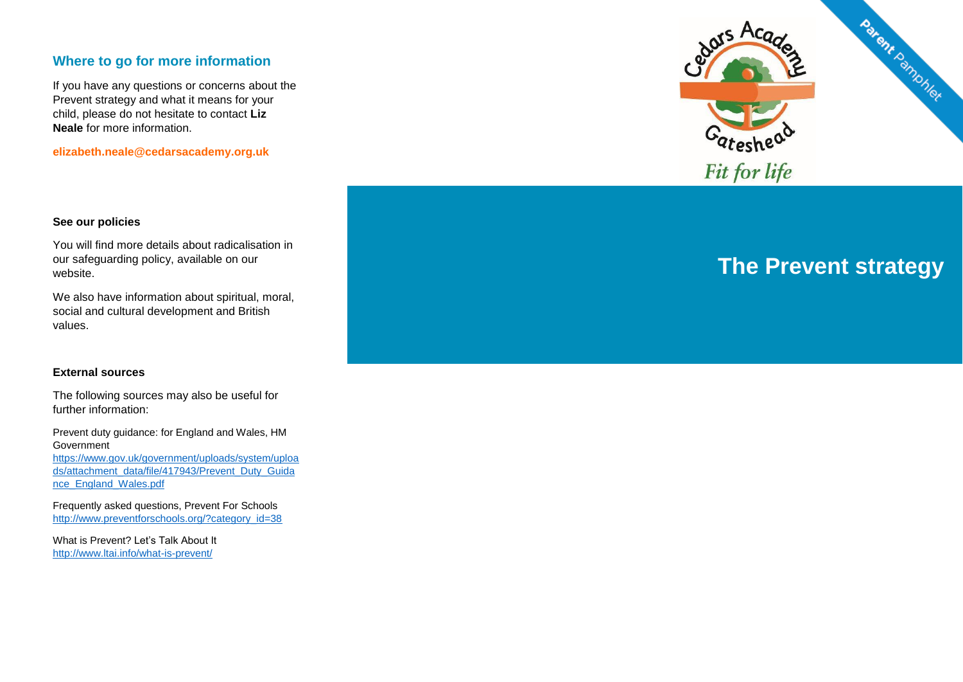## **Where to go for more information**

If you have any questions or concerns about the Prevent strategy and what it means for your child, please do not hesitate to contact **Liz Neale** for more information.

**elizabeth.neale@cedarsacademy.org.uk**



#### **See our policies**

You will find more details about radicalisation in our safeguarding policy, available on our website.

We also have information about spiritual, moral, social and cultural development and British values.

#### **External sources**

The following sources may also be useful for further information:

Prevent duty guidance: for England and Wales, HM Government [https://www.gov.uk/government/uploads/system/uploa](https://www.gov.uk/government/uploads/system/uploads/attachment_data/file/417943/Prevent_Duty_Guidance_England_Wales.pdf)

[ds/attachment\\_data/file/417943/Prevent\\_Duty\\_Guida](https://www.gov.uk/government/uploads/system/uploads/attachment_data/file/417943/Prevent_Duty_Guidance_England_Wales.pdf) [nce\\_England\\_Wales.pdf](https://www.gov.uk/government/uploads/system/uploads/attachment_data/file/417943/Prevent_Duty_Guidance_England_Wales.pdf)

Frequently asked questions, Prevent For Schools [http://www.preventforschools.org/?category\\_id=38](http://www.preventforschools.org/?category_id=38)

What is Prevent? Let's Talk About It <http://www.ltai.info/what-is-prevent/>

# **The Prevent strategy**